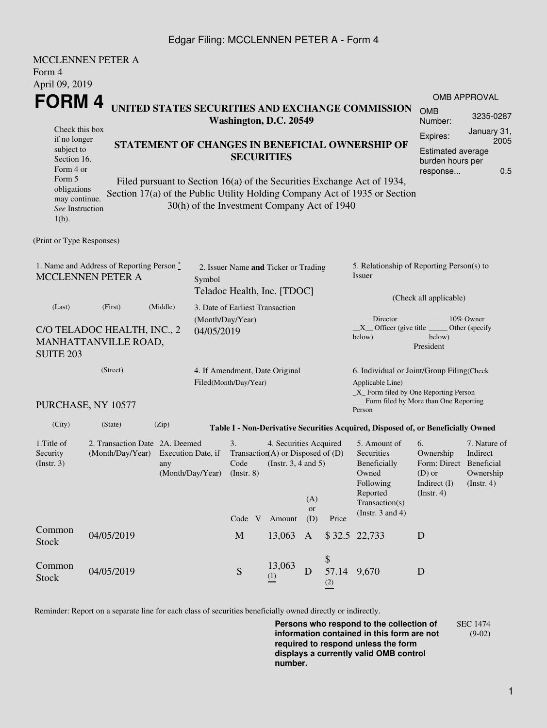## Edgar Filing: MCCLENNEN PETER A - Form 4

|                                                                                    | <b>MCCLENNEN PETER A</b>                                                                            |                                                                                                                                                                                                      |                                                                     |                                 |                                                                                           |                                                                                                                               |                        |                                                                                  |                                                                                              |                                                                                             |  |  |  |
|------------------------------------------------------------------------------------|-----------------------------------------------------------------------------------------------------|------------------------------------------------------------------------------------------------------------------------------------------------------------------------------------------------------|---------------------------------------------------------------------|---------------------------------|-------------------------------------------------------------------------------------------|-------------------------------------------------------------------------------------------------------------------------------|------------------------|----------------------------------------------------------------------------------|----------------------------------------------------------------------------------------------|---------------------------------------------------------------------------------------------|--|--|--|
| Form 4                                                                             |                                                                                                     |                                                                                                                                                                                                      |                                                                     |                                 |                                                                                           |                                                                                                                               |                        |                                                                                  |                                                                                              |                                                                                             |  |  |  |
| April 09, 2019                                                                     |                                                                                                     |                                                                                                                                                                                                      |                                                                     |                                 |                                                                                           |                                                                                                                               |                        |                                                                                  |                                                                                              |                                                                                             |  |  |  |
| FORM 4                                                                             |                                                                                                     |                                                                                                                                                                                                      |                                                                     |                                 |                                                                                           |                                                                                                                               |                        |                                                                                  |                                                                                              | <b>OMB APPROVAL</b>                                                                         |  |  |  |
|                                                                                    | UNITED STATES SECURITIES AND EXCHANGE COMMISSION<br>Washington, D.C. 20549                          |                                                                                                                                                                                                      |                                                                     |                                 |                                                                                           |                                                                                                                               |                        |                                                                                  | <b>OMB</b><br>Number:                                                                        | 3235-0287                                                                                   |  |  |  |
| Check this box<br>if no longer<br>subject to<br>Section 16.<br>Form 4 or<br>Form 5 |                                                                                                     | STATEMENT OF CHANGES IN BENEFICIAL OWNERSHIP OF<br><b>SECURITIES</b>                                                                                                                                 |                                                                     |                                 |                                                                                           |                                                                                                                               |                        |                                                                                  |                                                                                              | January 31,<br>Expires:<br>2005<br>Estimated average<br>burden hours per<br>0.5<br>response |  |  |  |
| obligations<br>may continue.<br>See Instruction<br>$1(b)$ .                        |                                                                                                     | Filed pursuant to Section 16(a) of the Securities Exchange Act of 1934,<br>Section 17(a) of the Public Utility Holding Company Act of 1935 or Section<br>30(h) of the Investment Company Act of 1940 |                                                                     |                                 |                                                                                           |                                                                                                                               |                        |                                                                                  |                                                                                              |                                                                                             |  |  |  |
| (Print or Type Responses)                                                          |                                                                                                     |                                                                                                                                                                                                      |                                                                     |                                 |                                                                                           |                                                                                                                               |                        |                                                                                  |                                                                                              |                                                                                             |  |  |  |
| 1. Name and Address of Reporting Person *<br><b>MCCLENNEN PETER A</b>              | Symbol                                                                                              |                                                                                                                                                                                                      | 2. Issuer Name and Ticker or Trading<br>Teladoc Health, Inc. [TDOC] |                                 |                                                                                           | 5. Relationship of Reporting Person(s) to<br>Issuer                                                                           |                        |                                                                                  |                                                                                              |                                                                                             |  |  |  |
| (Last)                                                                             | (First)                                                                                             | (Middle)                                                                                                                                                                                             |                                                                     | 3. Date of Earliest Transaction |                                                                                           |                                                                                                                               | (Check all applicable) |                                                                                  |                                                                                              |                                                                                             |  |  |  |
| C/O TELADOC HEALTH, INC., 2<br>MANHATTANVILLE ROAD,<br><b>SUITE 203</b>            | (Month/Day/Year)<br>04/05/2019                                                                      |                                                                                                                                                                                                      |                                                                     |                                 |                                                                                           | Director<br>10% Owner<br>$X$ Officer (give title $\overline{\phantom{a}}$<br>Other (specify)<br>below)<br>below)<br>President |                        |                                                                                  |                                                                                              |                                                                                             |  |  |  |
|                                                                                    | (Street)                                                                                            | 4. If Amendment, Date Original<br>Filed(Month/Day/Year)                                                                                                                                              |                                                                     |                                 |                                                                                           |                                                                                                                               | Applicable Line)       |                                                                                  |                                                                                              | 6. Individual or Joint/Group Filing(Check<br>_X_ Form filed by One Reporting Person         |  |  |  |
|                                                                                    | PURCHASE, NY 10577                                                                                  |                                                                                                                                                                                                      |                                                                     |                                 |                                                                                           |                                                                                                                               |                        | _ Form filed by More than One Reporting<br>Person                                |                                                                                              |                                                                                             |  |  |  |
| (City)                                                                             | (State)                                                                                             | (Zip)                                                                                                                                                                                                |                                                                     |                                 |                                                                                           |                                                                                                                               |                        | Table I - Non-Derivative Securities Acquired, Disposed of, or Beneficially Owned |                                                                                              |                                                                                             |  |  |  |
| 1. Title of<br>Security<br>(Insert. 3)                                             | 2. Transaction Date 2A. Deemed<br>(Month/Day/Year)<br>Execution Date, if<br>any<br>(Month/Day/Year) |                                                                                                                                                                                                      |                                                                     | 3.<br>Code<br>$($ Instr. 8 $)$  | 4. Securities Acquired<br>Transaction(A) or Disposed of $(D)$<br>(Instr. $3, 4$ and $5$ ) | (A)                                                                                                                           |                        | 5. Amount of<br>Securities<br>Beneficially<br>Owned<br>Following<br>Reported     | 6.<br>Ownership<br>Form: Direct Beneficial<br>$(D)$ or<br>Indirect $(I)$<br>$($ Instr. 4 $)$ | 7. Nature of<br>Indirect<br>Ownership<br>(Insert. 4)                                        |  |  |  |
|                                                                                    |                                                                                                     |                                                                                                                                                                                                      |                                                                     | Code V                          | Amount                                                                                    | <b>or</b><br>(D)                                                                                                              | Price                  | Transaction(s)<br>(Instr. $3$ and $4$ )                                          |                                                                                              |                                                                                             |  |  |  |
| Common<br>Stock                                                                    | 04/05/2019                                                                                          |                                                                                                                                                                                                      |                                                                     | M                               | 13,063                                                                                    | A                                                                                                                             |                        | \$32.5 22,733                                                                    | D                                                                                            |                                                                                             |  |  |  |
| Common<br><b>Stock</b>                                                             | 04/05/2019                                                                                          |                                                                                                                                                                                                      |                                                                     | ${\bf S}$                       | 13,063<br>(1)                                                                             | D                                                                                                                             | \$<br>57.14<br>(2)     | 9,670                                                                            | D                                                                                            |                                                                                             |  |  |  |

Reminder: Report on a separate line for each class of securities beneficially owned directly or indirectly.

**Persons who respond to the collection of information contained in this form are not required to respond unless the form displays a currently valid OMB control number.** SEC 1474

(9-02)